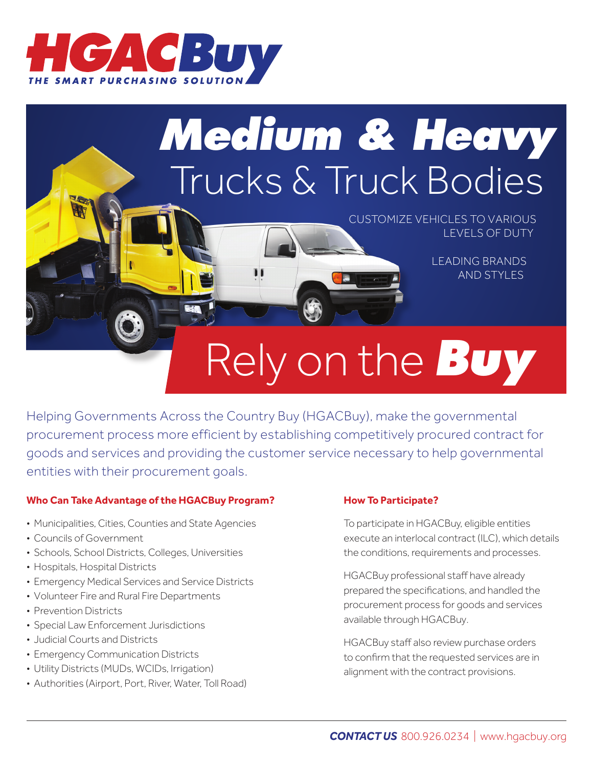

## *Medium & Heavy* Trucks & Truck Bodies

CUSTOMIZE VEHICLES TO VARIOUS LEVELS OF DUTY

> LEADING BRANDS AND STYLES

# Rely on the *Buy*

Helping Governments Across the Country Buy (HGACBuy), make the governmental procurement process more efficient by establishing competitively procured contract for goods and services and providing the customer service necessary to help governmental entities with their procurement goals.

### **Who Can Take Advantage of the HGACBuy Program?**

- Municipalities, Cities, Counties and State Agencies
- Councils of Government
- Schools, School Districts, Colleges, Universities
- Hospitals, Hospital Districts
- Emergency Medical Services and Service Districts
- Volunteer Fire and Rural Fire Departments
- Prevention Districts
- Special Law Enforcement Jurisdictions
- Judicial Courts and Districts
- Emergency Communication Districts
- Utility Districts (MUDs, WCIDs, Irrigation)
- Authorities (Airport, Port, River, Water, Toll Road)

#### **How To Participate?**

To participate in HGACBuy, eligible entities execute an interlocal contract (ILC), which details the conditions, requirements and processes.

HGACBuy professional staff have already prepared the specifications, and handled the procurement process for goods and services available through HGACBuy.

HGACBuy staff also review purchase orders to confirm that the requested services are in alignment with the contract provisions.